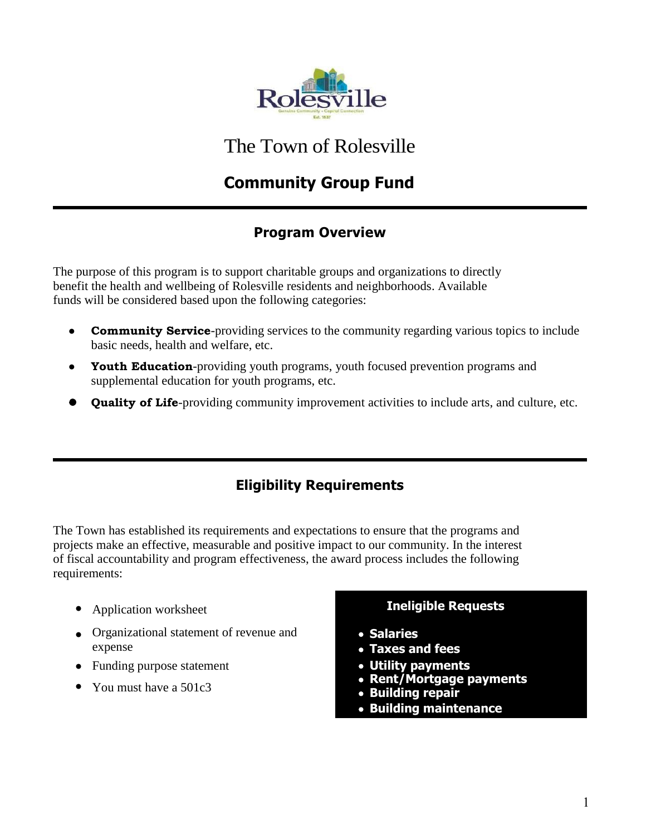

The Town of Rolesville

# **Community Group Fund**

### **Program Overview**

The purpose of this program is to support charitable groups and organizations to directly benefit the health and wellbeing of Rolesville residents and neighborhoods. Available funds will be considered based upon the following categories:

- **Community Service**-providing services to the community regarding various topics to include basic needs, health and welfare, etc.
- **Youth Education**-providing youth programs, youth focused prevention programs and supplemental education for youth programs, etc.
- **Quality of Life**-providing community improvement activities to include arts, and culture, etc.

### **Eligibility Requirements**

The Town has established its requirements and expectations to ensure that the programs and projects make an effective, measurable and positive impact to our community. In the interest of fiscal accountability and program effectiveness, the award process includes the following requirements:

- Application worksheet **Ineligible Requests**
- Organizational statement of revenue and **Salaries**
- Funding purpose statement **Utility payments**
- You must have a 501c3

- 
- **Taxes and fees**
- 
- **Rent/Mortgage payments**
- **Building repair**
- **Building maintenance**